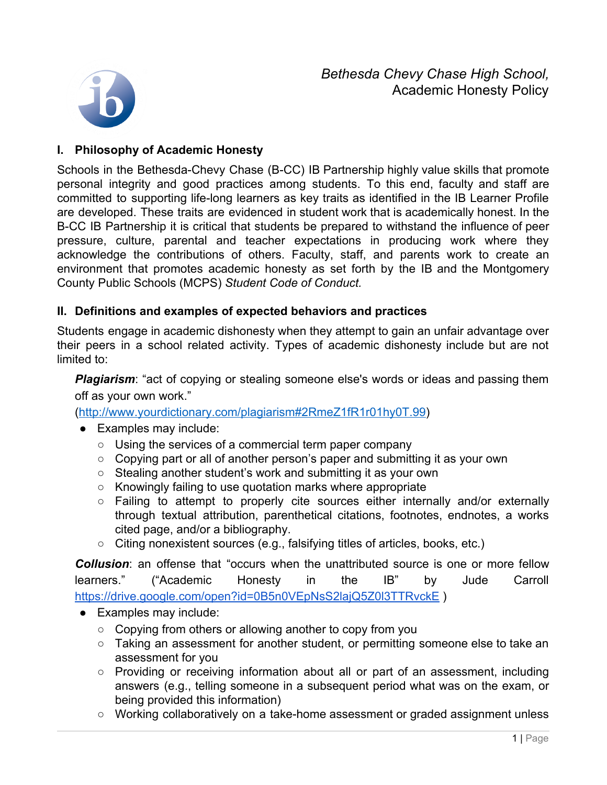*Bethesda Chevy Chase High School,* Academic Honesty Policy



## **I. Philosophy of Academic Honesty**

Schools in the Bethesda-Chevy Chase (B-CC) IB Partnership highly value skills that promote personal integrity and good practices among students. To this end, faculty and staff are committed to supporting life-long learners as key traits as identified in the IB Learner Profile are developed. These traits are evidenced in student work that is academically honest. In the B-CC IB Partnership it is critical that students be prepared to withstand the influence of peer pressure, culture, parental and teacher expectations in producing work where they acknowledge the contributions of others. Faculty, staff, and parents work to create an environment that promotes academic honesty as set forth by the IB and the Montgomery County Public Schools (MCPS) *Student Code of Conduct.*

## **II. Definitions and examples of expected behaviors and practices**

Students engage in academic dishonesty when they attempt to gain an unfair advantage over their peers in a school related activity. Types of academic dishonesty include but are not limited to:

**Plagiarism**: "act of copying or stealing someone else's words or ideas and passing them off as your own work."

([http://www.yourdictionary.com/plagiarism#2RmeZ1fR1r01hy0T.99\)](http://www.yourdictionary.com/plagiarism#2RmeZ1fR1r01hy0T.99)

- Examples may include:
	- Using the services of a commercial term paper company
	- Copying part or all of another person's paper and submitting it as your own
	- Stealing another student's work and submitting it as your own
	- Knowingly failing to use quotation marks where appropriate
	- Failing to attempt to properly cite sources either internally and/or externally through textual attribution, parenthetical citations, footnotes, endnotes, a works cited page, and/or a bibliography.
	- Citing nonexistent sources (e.g., falsifying titles of articles, books, etc.)

**Collusion:** an offense that "occurs when the unattributed source is one or more fellow learners." ("Academic Honesty in the IB" by Jude Carroll <https://drive.google.com/open?id=0B5n0VEpNsS2lajQ5Z0l3TTRvckE>)

- Examples may include:
	- Copying from others or allowing another to copy from you
	- Taking an assessment for another student, or permitting someone else to take an assessment for you
	- Providing or receiving information about all or part of an assessment, including answers (e.g., telling someone in a subsequent period what was on the exam, or being provided this information)
	- Working collaboratively on a take-home assessment or graded assignment unless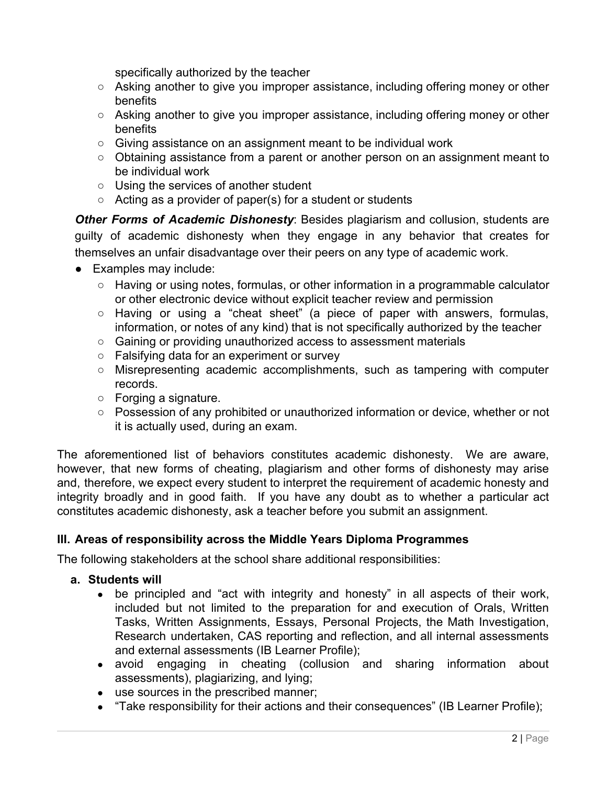specifically authorized by the teacher

- Asking another to give you improper assistance, including offering money or other benefits
- Asking another to give you improper assistance, including offering money or other benefits
- Giving assistance on an assignment meant to be individual work
- Obtaining assistance from a parent or another person on an assignment meant to be individual work
- Using the services of another student
- $\circ$  Acting as a provider of paper(s) for a student or students

*Other Forms of Academic Dishonesty*: Besides plagiarism and collusion, students are guilty of academic dishonesty when they engage in any behavior that creates for themselves an unfair disadvantage over their peers on any type of academic work.

- Examples may include:
	- $\circ$  Having or using notes, formulas, or other information in a programmable calculator or other electronic device without explicit teacher review and permission
	- Having or using a "cheat sheet" (a piece of paper with answers, formulas, information, or notes of any kind) that is not specifically authorized by the teacher
	- Gaining or providing unauthorized access to assessment materials
	- Falsifying data for an experiment or survey
	- Misrepresenting academic accomplishments, such as tampering with computer records.
	- Forging a signature.
	- Possession of any prohibited or unauthorized information or device, whether or not it is actually used, during an exam.

The aforementioned list of behaviors constitutes academic dishonesty. We are aware, however, that new forms of cheating, plagiarism and other forms of dishonesty may arise and, therefore, we expect every student to interpret the requirement of academic honesty and integrity broadly and in good faith. If you have any doubt as to whether a particular act constitutes academic dishonesty, ask a teacher before you submit an assignment.

# **III. Areas of responsibility across the Middle Years Diploma Programmes**

The following stakeholders at the school share additional responsibilities:

# **a. Students will**

- be principled and "act with integrity and honesty" in all aspects of their work, included but not limited to the preparation for and execution of Orals, Written Tasks, Written Assignments, Essays, Personal Projects, the Math Investigation, Research undertaken, CAS reporting and reflection, and all internal assessments and external assessments (IB Learner Profile);
- avoid engaging in cheating (collusion and sharing information about assessments), plagiarizing, and lying;
- use sources in the prescribed manner;
- "Take responsibility for their actions and their consequences" (IB Learner Profile);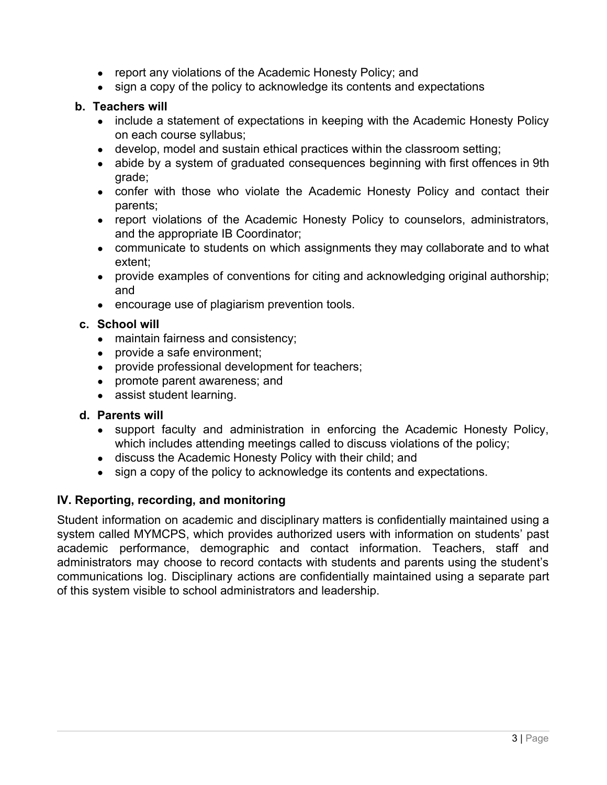- report any violations of the Academic Honesty Policy; and
- sign a copy of the policy to acknowledge its contents and expectations

### **b. Teachers will**

- include a statement of expectations in keeping with the Academic Honesty Policy on each course syllabus;
- develop, model and sustain ethical practices within the classroom setting;
- abide by a system of graduated consequences beginning with first offences in 9th grade;
- confer with those who violate the Academic Honesty Policy and contact their parents;
- report violations of the Academic Honesty Policy to counselors, administrators, and the appropriate IB Coordinator;
- communicate to students on which assignments they may collaborate and to what extent;
- provide examples of conventions for citing and acknowledging original authorship; and
- **●** encourage use of plagiarism prevention tools.

### **c. School will**

- maintain fairness and consistency;
- provide a safe environment;
- provide professional development for teachers;
- promote parent awareness; and
- assist student learning.

#### **d. Parents will**

- support faculty and administration in enforcing the Academic Honesty Policy, which includes attending meetings called to discuss violations of the policy;
- discuss the Academic Honesty Policy with their child; and
- sign a copy of the policy to acknowledge its contents and expectations.

## **IV. Reporting, recording, and monitoring**

Student information on academic and disciplinary matters is confidentially maintained using a system called MYMCPS, which provides authorized users with information on students' past academic performance, demographic and contact information. Teachers, staff and administrators may choose to record contacts with students and parents using the student's communications log. Disciplinary actions are confidentially maintained using a separate part of this system visible to school administrators and leadership.